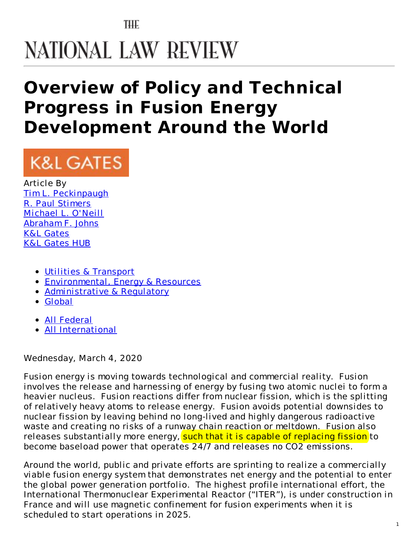## THE NATIONAL LAW REVIEW

## **Overview of Policy and Technical Progress in Fusion Energy Development Around the World**

# **K&L GATES**

Article By Tim L. [Peckinpaugh](https://www.natlawreview.com/author/tim-l-peckinpaugh) R. Paul [Stimers](https://www.natlawreview.com/author/r-paul-stimers) [Michael](https://www.natlawreview.com/author/michael-l-o-neill) L. O'Neill [Abraham](https://www.natlawreview.com/author/abraham-f-johns) F. Johns K&L [Gates](https://www.natlawreview.com/organization/kl-gates) K&L [Gates](http://www.klgateshub.com/) HUB

- Utilities & [Transport](https://www.natlawreview.com/type-law/utilities-transport)
- [Environmental,](https://www.natlawreview.com/type-law/environmental-energy-resources) Energy & Resources
- [Administrative](https://www.natlawreview.com/type-law/administrative-regulatory) & Regulatory
- [Global](https://www.natlawreview.com/type-law/global)
- All [Federal](https://www.natlawreview.com/jurisdiction/all-federal)
- All [International](https://www.natlawreview.com/jurisdiction/all-international)

Wednesday, March 4, 2020

Fusion energy is moving towards technological and commercial reality. Fusion involves the release and harnessing of energy by fusing two atomic nuclei to form a heavier nucleus. Fusion reactions differ from nuclear fission, which is the splitting of relatively heavy atoms to release energy. Fusion avoids potential downsides to nuclear fission by leaving behind no long-lived and highly dangerous radioactive waste and creating no risks of a runway chain reaction or meltdown. Fusion also releases substantially more energy, such that it is capable of replacing fission to become baseload power that operates 24/7 and releases no CO2 emissions.

Around the world, public and private efforts are sprinting to realize a commercially viable fusion energy system that demonstrates net energy and the potential to enter the global power generation portfolio. The highest profile international effort, the International Thermonuclear Experimental Reactor ("ITER"), is under construction in France and will use magnetic confinement for fusion experiments when it is scheduled to start operations in 2025.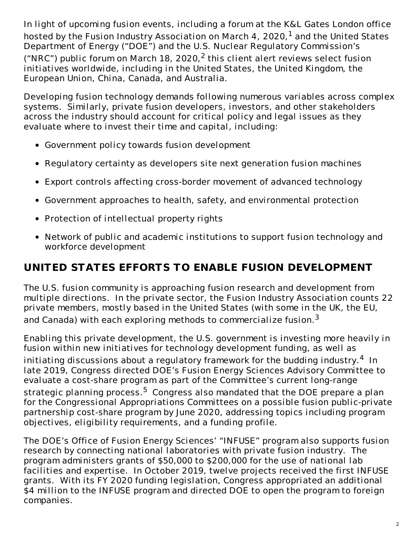In light of upcoming fusion events, including a forum at the K&L Gates London office hosted by the Fusion Industry Association on March 4, 2020, $^1$  and the United States Department of Energy ("DOE") and the U.S. Nuclear Regulatory Commission's ("NRC") public forum on March 18, 2020,<sup>2</sup> this client alert reviews select fusion initiatives worldwide, including in the United States, the United Kingdom, the European Union, China, Canada, and Australia.

Developing fusion technology demands following numerous variables across complex systems. Similarly, private fusion developers, investors, and other stakeholders across the industry should account for critical policy and legal issues as they evaluate where to invest their time and capital, including:

- Government policy towards fusion development
- Regulatory certainty as developers site next generation fusion machines
- Export controls affecting cross-border movement of advanced technology
- Government approaches to health, safety, and environmental protection
- Protection of intellectual property rights
- Network of public and academic institutions to support fusion technology and workforce development

#### **UNITED STATES EFFORTS TO ENABLE FUSION DEVELOPMENT**

The U.S. fusion community is approaching fusion research and development from multiple directions. In the private sector, the Fusion Industry Association counts 22 private members, mostly based in the United States (with some in the UK, the EU, and Canada) with each exploring methods to commercialize fusion.<sup>3</sup>

Enabling this private development, the U.S. government is investing more heavily in fusion within new initiatives for technology development funding, as well as initiating discussions about a regulatory framework for the budding industry. $^4\,$  In late 2019, Congress directed DOE's Fusion Energy Sciences Advisory Committee to evaluate a cost-share program as part of the Committee's current long-range strategic planning process.<sup>5</sup> Congress also mandated that the DOE prepare a plan for the Congressional Appropriations Committees on a possible fusion public-private partnership cost-share program by June 2020, addressing topics including program objectives, eligibility requirements, and a funding profile.

The DOE's Office of Fusion Energy Sciences' "INFUSE" program also supports fusion research by connecting national laboratories with private fusion industry. The program administers grants of \$50,000 to \$200,000 for the use of national lab facilities and expertise. In October 2019, twelve projects received the first INFUSE grants. With its FY 2020 funding legislation, Congress appropriated an additional \$4 million to the INFUSE program and directed DOE to open the program to foreign companies.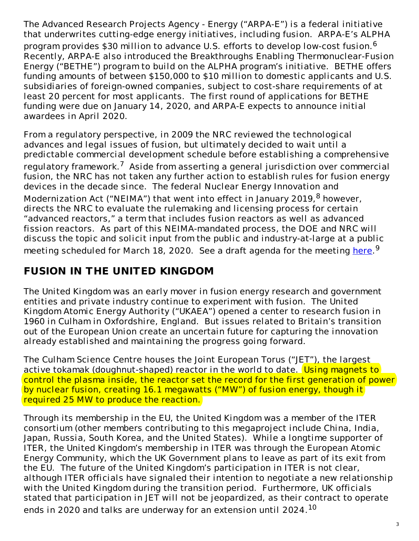The Advanced Research Projects Agency - Energy ("ARPA-E") is a federal initiative that underwrites cutting-edge energy initiatives, including fusion. ARPA-E's ALPHA program provides \$30 million to advance U.S. efforts to develop low-cost fusion.<sup>6</sup> Recently, ARPA-E also introduced the Breakthroughs Enabling Thermonuclear-Fusion Energy ("BETHE") program to build on the ALPHA program's initiative. BETHE offers funding amounts of between \$150,000 to \$10 million to domestic applicants and U.S. subsidiaries of foreign-owned companies, subject to cost-share requirements of at least 20 percent for most applicants. The first round of applications for BETHE funding were due on January 14, 2020, and ARPA-E expects to announce initial awardees in April 2020.

From a regulatory perspective, in 2009 the NRC reviewed the technological advances and legal issues of fusion, but ultimately decided to wait until a predictable commercial development schedule before establishing a comprehensive regulatory framework.<sup>7</sup> Aside from asserting a general jurisdiction over commercial fusion, the NRC has not taken any further action to establish rules for fusion energy devices in the decade since. The federal Nuclear Energy Innovation and Modernization Act ("NEIMA") that went into effect in January 2019, <sup>8</sup> however, directs the NRC to evaluate the rulemaking and licensing process for certain "advanced reactors," a term that includes fusion reactors as well as advanced fission reactors. As part of this NEIMA-mandated process, the DOE and NRC will discuss the topic and solicit input from the public and industry-at-large at a public meeting scheduled for March 18, 2020. See a draft agenda for the meeting [here](https://science.osti.gov/-/media/fes/pdf/2020/NRC_Agenda_20200318.pdf?la=en&hash=16A1BECE6143F92019A1A315E12E6DB1056C6CC1).<sup>9</sup>

### **FUSION IN THE UNITED KINGDOM**

The United Kingdom was an early mover in fusion energy research and government entities and private industry continue to experiment with fusion. The United Kingdom Atomic Energy Authority ("UKAEA") opened a center to research fusion in 1960 in Culham in Oxfordshire, England. But issues related to Britain's transition out of the European Union create an uncertain future for capturing the innovation already established and maintaining the progress going forward.

The Culham Science Centre houses the Joint European Torus ("JET"), the largest active tokamak (doughnut-shaped) reactor in the world to date. Using magnets to control the plasma inside, the reactor set the record for the first generation of power by nuclear fusion, creating 16.1 megawatts ("MW") of fusion energy, though it required 25 MW to produce the reaction.

Through its membership in the EU, the United Kingdom was a member of the ITER consortium (other members contributing to this megaproject include China, India, Japan, Russia, South Korea, and the United States). While a longtime supporter of ITER, the United Kingdom's membership in ITER was through the European Atomic Energy Community, which the UK Government plans to leave as part of its exit from the EU. The future of the United Kingdom's participation in ITER is not clear, although ITER officials have signaled their intention to negotiate a new relationship with the United Kingdom during the transition period. Furthermore, UK officials stated that participation in JET will not be jeopardized, as their contract to operate ends in 2020 and talks are underway for an extension until 2024. $^{10}$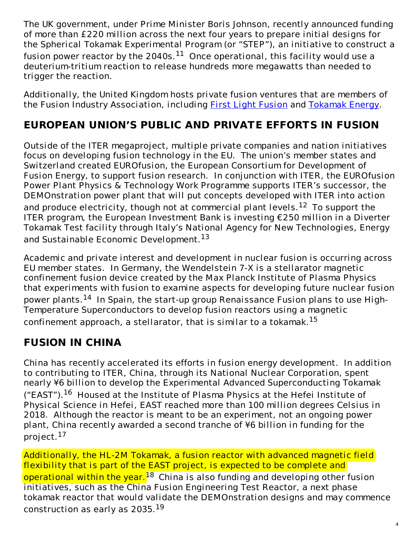The UK government, under Prime Minister Boris Johnson, recently announced funding of more than £220 million across the next four years to prepare initial designs for the Spherical Tokamak Experimental Program (or "STEP"), an initiative to construct a fusion power reactor by the 2040s. $^{11}\,$  Once operational, this facility would use a deuterium-tritium reaction to release hundreds more megawatts than needed to trigger the reaction.

Additionally, the United Kingdom hosts private fusion ventures that are members of the [Fusion](https://firstlightfusion.com/) Industry Association, including **First Light Fusion and [Tokamak](https://www.tokamakenergy.co.uk/) Energy**.

#### **EUROPEAN UNION'S PUBLIC AND PRIVATE EFFORTS IN FUSION**

Outside of the ITER megaproject, multiple private companies and nation initiatives focus on developing fusion technology in the EU. The union's member states and Switzerland created EUROfusion, the European Consortium for Development of Fusion Energy, to support fusion research. In conjunction with ITER, the EUROfusion Power Plant Physics & Technology Work Programme supports ITER's successor, the DEMOnstration power plant that will put concepts developed with ITER into action and produce electricity, though not at commercial plant levels.<sup>12</sup> To support the ITER program, the European Investment Bank is investing €250 million in a Diverter Tokamak Test facility through Italy's National Agency for New Technologies, Energy and Sustainable Economic Development.<sup>13</sup>

Academic and private interest and development in nuclear fusion is occurring across EU member states. In Germany, the Wendelstein 7-X is a stellarator magnetic confinement fusion device created by the Max Planck Institute of Plasma Physics that experiments with fusion to examine aspects for developing future nuclear fusion power plants.<sup>14</sup> In Spain, the start-up group Renaissance Fusion plans to use High-Temperature Superconductors to develop fusion reactors using a magnetic confinement approach, a stellarator, that is similar to a tokamak.<sup>15</sup>

#### **FUSION IN CHINA**

China has recently accelerated its efforts in fusion energy development. In addition to contributing to ITER, China, through its National Nuclear Corporation, spent nearly ¥6 billion to develop the Experimental Advanced Superconducting Tokamak ("EAST").<sup>16</sup> Housed at the Institute of Plasma Physics at the Hefei Institute of Physical Science in Hefei, EAST reached more than 100 million degrees Celsius in 2018. Although the reactor is meant to be an experiment, not an ongoing power plant, China recently awarded a second tranche of ¥6 billion in funding for the project. <sup>17</sup>

Additionally, the HL-2M Tokamak, a fusion reactor with advanced magnetic field flexibility that is part of the EAST project, is expected to be complete and operational within the year.<sup>18</sup> China is also funding and developing other fusion initiatives, such as the China Fusion Engineering Test Reactor, a next phase tokamak reactor that would validate the DEMOnstration designs and may commence construction as early as 2035. $^{19}$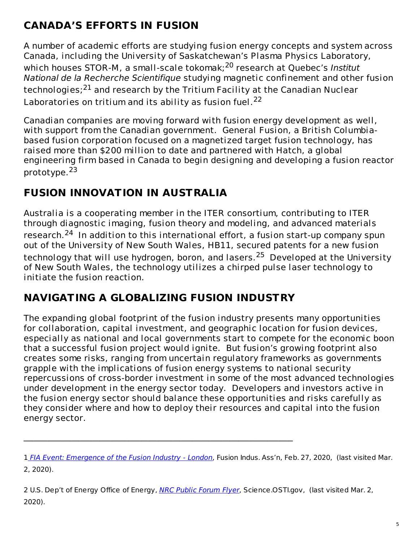### **CANADA'S EFFORTS IN FUSION**

A number of academic efforts are studying fusion energy concepts and system across Canada, including the University of Saskatchewan's Plasma Physics Laboratory, which houses STOR-M, a small-scale tokomak;<sup>20</sup> research at Quebec's Institut National de la Recherche Scientifique studying magnetic confinement and other fusion technologies;<sup>21</sup> and research by the Tritium Facility at the Canadian Nuclear Laboratories on tritium and its ability as fusion fuel.<sup>22</sup>

Canadian companies are moving forward with fusion energy development as well, with support from the Canadian government. General Fusion, a British Columbiabased fusion corporation focused on a magnetized target fusion technology, has raised more than \$200 million to date and partnered with Hatch, a global engineering firm based in Canada to begin designing and developing a fusion reactor prototype.<sup>23</sup>

#### **FUSION INNOVATION IN AUSTRALIA**

Australia is a cooperating member in the ITER consortium, contributing to ITER through diagnostic imaging, fusion theory and modeling, and advanced materials research.<sup>24</sup> In addition to this international effort, a fusion start-up company spun out of the University of New South Wales, HB11, secured patents for a new fusion technology that will use hydrogen, boron, and lasers. <sup>25</sup> Developed at the University of New South Wales, the technology utilizes a chirped pulse laser technology to initiate the fusion reaction.

### **NAVIGATING A GLOBALIZING FUSION INDUSTRY**

 $\mathcal{L}_\mathcal{L} = \{ \mathcal{L}_\mathcal{L} = \{ \mathcal{L}_\mathcal{L} = \{ \mathcal{L}_\mathcal{L} = \{ \mathcal{L}_\mathcal{L} = \{ \mathcal{L}_\mathcal{L} = \{ \mathcal{L}_\mathcal{L} = \{ \mathcal{L}_\mathcal{L} = \{ \mathcal{L}_\mathcal{L} = \{ \mathcal{L}_\mathcal{L} = \{ \mathcal{L}_\mathcal{L} = \{ \mathcal{L}_\mathcal{L} = \{ \mathcal{L}_\mathcal{L} = \{ \mathcal{L}_\mathcal{L} = \{ \mathcal{L}_\mathcal{$ 

The expanding global footprint of the fusion industry presents many opportunities for collaboration, capital investment, and geographic location for fusion devices, especially as national and local governments start to compete for the economic boon that a successful fusion project would ignite. But fusion's growing footprint also creates some risks, ranging from uncertain regulatory frameworks as governments grapple with the implications of fusion energy systems to national security repercussions of cross-border investment in some of the most advanced technologies under development in the energy sector today. Developers and investors active in the fusion energy sector should balance these opportunities and risks carefully as they consider where and how to deploy their resources and capital into the fusion energy sector.

2 U.S. Dep't of Energy Office of Energy, NRC Public [Forum](https://science.osti.gov/-/media/fes/pdf/2020/NRC_Public_Forum_Flyer_20200318.pdf?la=en&hash=78E685B6C4922A88820F2CA4AFE70415EAC1088A) Flyer, Science OSTI.gov, (last visited Mar. 2, 2020).

<sup>1</sup> FIA Event: [Emergence](https://www.fusionindustryassociation.org/post/fia-event-emergence-of-the-fusion-industry-london) of the Fusion Industry - London, Fusion Indus. Ass'n, Feb. 27, 2020, (last visited Mar. 2, 2020).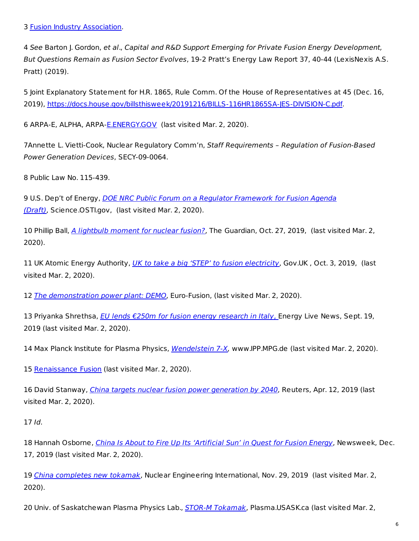4 See Barton J. Gordon, et al., Capital and R&D Support Emerging for Private Fusion Energy Development, But Questions Remain as Fusion Sector Evolves, 19-2 Pratt's Energy Law Report 37, 40-44 (LexisNexis A.S. Pratt) (2019).

5 Joint Explanatory Statement for H.R. 1865, Rule Comm. Of the House of Representatives at 45 (Dec. 16, 2019), <https://docs.house.gov/billsthisweek/20191216/BILLS-116HR1865SA-JES-DIVISION-C.pdf>.

6 ARPA-E, ALPHA, ARPA[-E.ENERGY.GOV](https://arpa-e.energy.gov/?q=arpa-e-programs/alpha) (last visited Mar. 2, 2020).

7Annette L. Vietti-Cook, Nuclear Regulatory Comm'n, Staff Requirements - Regulation of Fusion-Based Power Generation Devices, SECY-09-0064.

8 Public Law No. 115-439.

9 U.S. Dep't of Energy, *DOE NRC Public Forum on a Regulator Framework for Fusion Agenda* (Draft), [Science.OSTI.gov,](https://science.osti.gov/-/media/fes/pdf/2020/NRC_Agenda_20200318.pdf?la=en&hash=16A1BECE6143F92019A1A315E12E6DB1056C6CC1) (last visited Mar. 2, 2020).

10 Phillip Ball, A [lightbulb](https://www.theguardian.com/environment/2019/oct/27/nuclear-fusion-research-power-generation-iter-jet-step-carbon-neutral-2050-boris-johnson) moment for nuclear fusion?, The Guardian, Oct. 27, 2019, (last visited Mar. 2, 2020).

11 UK Atomic Energy Authority, *UK to take a big 'STEP' to fusion [electricity](https://www.gov.uk/government/news/uk-to-take-a-big-step-to-fusion-electricity)*, Gov.UK, Oct. 3, 2019, (last visited Mar. 2, 2020).

12 The [demonstration](https://www.euro-fusion.org/programme/demo/) power plant: DEMO, Euro-Fusion, (last visited Mar. 2, 2020).

13 Priyanka Shrethsa, EU lends €250m for fusion energy [research](https://www.energylivenews.com/2019/09/19/eu-lends-e250m-for-fusion-energy-research-in-italy/�) in Italy, Energy Live News, Sept. 19, 2019 (last visited Mar. 2, 2020).

14 Max Planck Institute for Plasma Physics, [Wendelstein](https://www.ipp.mpg.de/w7x) 7-X, www.IPP.MPG.de (last visited Mar. 2, 2020).

15 [Renaissance](https://stellarator.energy/) Fusion (last visited Mar. 2, 2020).

16 David Stanway, *China targets nuclear fusion power [generation](https://www.reuters.com/article/us-china-nuclearpower-fusion/china-targets-nuclear-fusion-power-generation-by-2040-idUSKCN1RO0NB) by 2040*, Reuters, Apr. 12, 2019 (last visited Mar. 2, 2020).

17 Id.

18 Hannah Osborne, *China Is About to Fire Up Its ['Artificial](https://www.newsweek.com/china-about-fire-its-artificial-sun-quest-fusion-energy-1477705) Sun' in Quest for Fusion Energy*, Newsweek, Dec. 17, 2019 (last visited Mar. 2, 2020).

19 China [completes](https://www.neimagazine.com/news/newschina-completes-new-tokamak-7531412) new tokamak, Nuclear Engineering International, Nov. 29, 2019 (last visited Mar. 2, 2020).

20 Univ. of Saskatchewan Plasma Physics Lab., STOR-M [Tokamak](http://plasma.usask.ca/fusion/storm.php), Plasma.USASK.ca (last visited Mar. 2,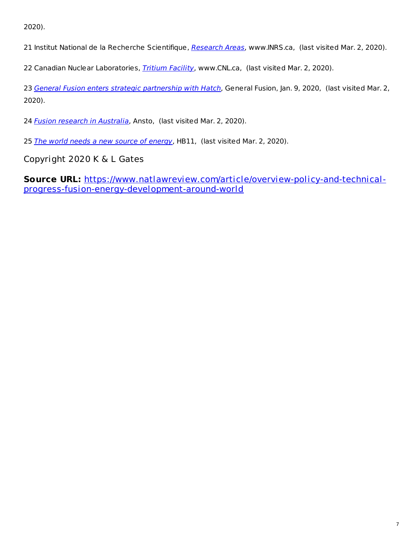2020).

21 Institut National de la Recherche Scientifique, [Research](http://www.inrs.ca/english/research-centres/emt/research-areas) Areas, www.INRS.ca, (last visited Mar. 2, 2020).

22 Canadian Nuclear Laboratories, *[Tritium](https://www.cnl.ca/en/home/facilities-and-expertise/all-facilities/tritium.aspx) Facility*, www.CNL.ca, (last visited Mar. 2, 2020).

23 General Fusion enters strategic [partnership](https://generalfusion.com/2020/01/general-fusion-enters-strategic-partnership-with-hatch/) with Hatch, General Fusion, Jan. 9, 2020, (last visited Mar. 2, 2020).

24 Fusion research in [Australia](https://www.ansto.gov.au/news/fusion-research-australia), Ansto, (last visited Mar. 2, 2020).

25 The world needs a new source of [energy](https://www.hb11.energy/), HB11, (last visited Mar. 2, 2020).

Copyright 2020 K & L Gates

**Source URL:** [https://www.natlawreview.com/article/overview-policy-and-technical](https://www.natlawreview.com/article/overview-policy-and-technical-progress-fusion-energy-development-around-world)progress-fusion-energy-development-around-world